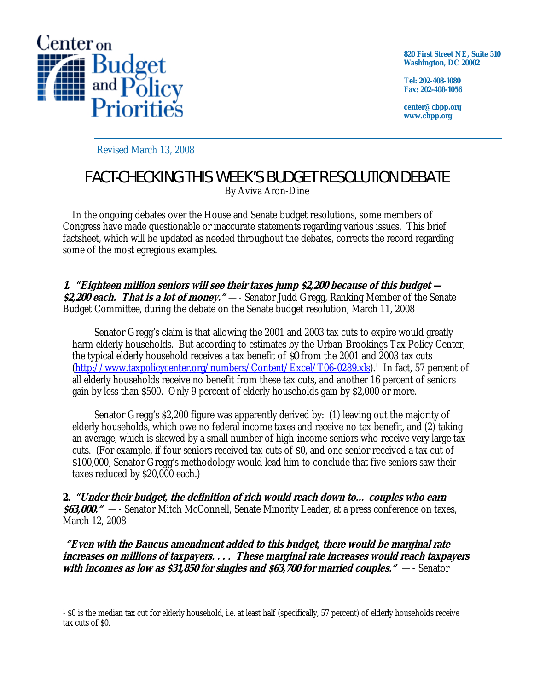

**820 First Street NE, Suite 510 Washington, DC 20002** 

**Tel: 202-408-1080 Fax: 202-408-1056** 

**center@cbpp.org www.cbpp.org** 

Revised March 13, 2008

## FACT-CHECKING THIS WEEK'S BUDGET RESOLUTION DEBATE

By Aviva Aron-Dine

 In the ongoing debates over the House and Senate budget resolutions, some members of Congress have made questionable or inaccurate statements regarding various issues. This brief factsheet, which will be updated as needed throughout the debates, corrects the record regarding some of the most egregious examples.

**1. "Eighteen million seniors will see their taxes jump \$2,200 because of this budget — \$2,200 each. That is a lot of money."** —- Senator Judd Gregg, Ranking Member of the Senate Budget Committee, during the debate on the Senate budget resolution, March 11, 2008

 Senator Gregg's claim is that allowing the 2001 and 2003 tax cuts to expire would greatly harm elderly households. But according to estimates by the Urban-Brookings Tax Policy Center, the typical elderly household receives a tax benefit of *\$0* from the 2001 and 2003 tax cuts (http://www.taxpolicycenter.org/numbers/Content/Excel/T06-0289.xls).<sup>1</sup> In fact, 57 percent of all elderly households receive no benefit from these tax cuts, and another 16 percent of seniors gain by less than \$500. Only 9 percent of elderly households gain by \$2,000 or more.

 Senator Gregg's \$2,200 figure was apparently derived by: (1) leaving out the majority of elderly households, which owe no federal income taxes and receive no tax benefit, and (2) taking an average, which is skewed by a small number of high-income seniors who receive very large tax cuts. (For example, if four seniors received tax cuts of \$0, and one senior received a tax cut of \$100,000, Senator Gregg's methodology would lead him to conclude that five seniors saw their taxes reduced by \$20,000 each.)

**2. "Under their budget, the definition of rich would reach down to… couples who earn \$63,000."** —- Senator Mitch McConnell, Senate Minority Leader, at a press conference on taxes, March 12, 2008

 **"Even with the Baucus amendment added to this budget, there would be marginal rate increases on millions of taxpayers. . . . These marginal rate increases would reach taxpayers with incomes as low as \$31,850 for singles and \$63,700 for married couples."** —- Senator

 $\overline{a}$ 1 \$0 is the median tax cut for elderly household, i.e. at least half (specifically, 57 percent) of elderly households receive tax cuts of \$0.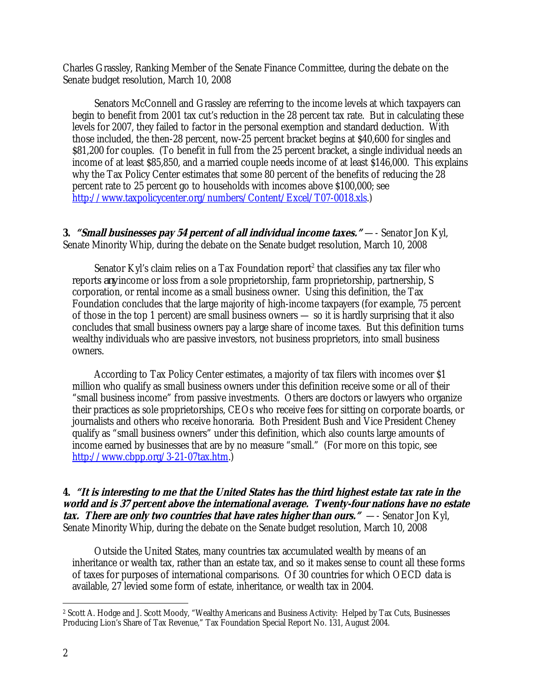Charles Grassley, Ranking Member of the Senate Finance Committee, during the debate on the Senate budget resolution, March 10, 2008

 Senators McConnell and Grassley are referring to the income levels at which taxpayers can begin to benefit from 2001 tax cut's reduction in the 28 percent tax rate. But in calculating these levels for 2007, they failed to factor in the personal exemption and standard deduction. With those included, the then-28 percent, now-25 percent bracket begins at \$40,600 for singles and \$81,200 for couples. (To benefit in full from the 25 percent bracket, a single individual needs an income of at least \$85,850, and a married couple needs income of at least \$146,000. This explains why the Tax Policy Center estimates that some 80 percent of the benefits of reducing the 28 percent rate to 25 percent go to households with incomes above \$100,000; see http://www.taxpolicycenter.org/numbers/Content/Excel/T07-0018.xls.)

**3.** *"Small businesses pay 54 percent of all individual income taxes."* **—- Senator Jon Kyl,** Senate Minority Whip, during the debate on the Senate budget resolution, March 10, 2008

Senator Kyl's claim relies on a Tax Foundation report<sup>2</sup> that classifies any tax filer who reports *any* income or loss from a sole proprietorship, farm proprietorship, partnership, S corporation, or rental income as a small business owner. Using this definition, the Tax Foundation concludes that the large majority of high-income taxpayers (for example, 75 percent of those in the top 1 percent) are small business owners — so it is hardly surprising that it also concludes that small business owners pay a large share of income taxes. But this definition turns wealthy individuals who are passive investors, not business proprietors, into small business owners.

 According to Tax Policy Center estimates, a majority of tax filers with incomes over \$1 million who qualify as small business owners under this definition receive some or all of their "small business income" from passive investments. Others are doctors or lawyers who organize their practices as sole proprietorships, CEOs who receive fees for sitting on corporate boards, or journalists and others who receive honoraria. Both President Bush and Vice President Cheney qualify as "small business owners" under this definition, which also counts large amounts of income earned by businesses that are by no measure "small." (For more on this topic, see http://www.cbpp.org/3-21-07tax.htm.)

## **4. "It is interesting to me that the United States has the third highest estate tax rate in the world and is 37 percent above the international average. Twenty-four nations have no estate tax. There are only two countries that have rates higher than ours."**—- Senator Jon Kyl, Senate Minority Whip, during the debate on the Senate budget resolution, March 10, 2008

 Outside the United States, many countries tax accumulated wealth by means of an inheritance or wealth tax, rather than an estate tax, and so it makes sense to count all these forms of taxes for purposes of international comparisons. Of 30 countries for which OECD data is available, 27 levied some form of estate, inheritance, or wealth tax in 2004.

 $\overline{a}$ 2 Scott A. Hodge and J. Scott Moody, "Wealthy Americans and Business Activity: Helped by Tax Cuts, Businesses Producing Lion's Share of Tax Revenue," Tax Foundation Special Report No. 131, August 2004.